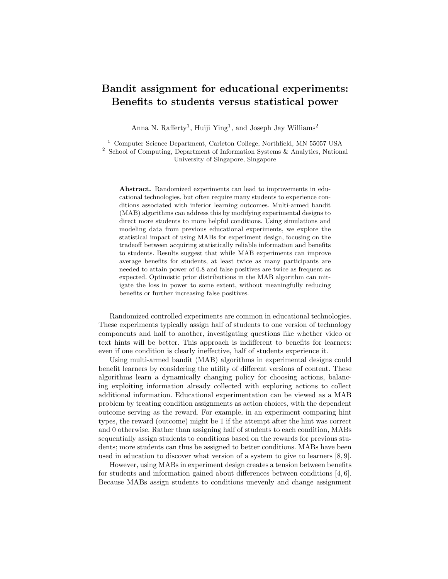# Bandit assignment for educational experiments: Benefits to students versus statistical power

Anna N. Rafferty<sup>1</sup>, Huiji Ying<sup>1</sup>, and Joseph Jay Williams<sup>2</sup>

<sup>1</sup> Computer Science Department, Carleton College, Northfield, MN 55057 USA <sup>2</sup> School of Computing, Department of Information Systems & Analytics, National University of Singapore, Singapore

Abstract. Randomized experiments can lead to improvements in educational technologies, but often require many students to experience conditions associated with inferior learning outcomes. Multi-armed bandit (MAB) algorithms can address this by modifying experimental designs to direct more students to more helpful conditions. Using simulations and modeling data from previous educational experiments, we explore the statistical impact of using MABs for experiment design, focusing on the tradeoff between acquiring statistically reliable information and benefits to students. Results suggest that while MAB experiments can improve average benefits for students, at least twice as many participants are needed to attain power of 0.8 and false positives are twice as frequent as expected. Optimistic prior distributions in the MAB algorithm can mitigate the loss in power to some extent, without meaningfully reducing benefits or further increasing false positives.

Randomized controlled experiments are common in educational technologies. These experiments typically assign half of students to one version of technology components and half to another, investigating questions like whether video or text hints will be better. This approach is indifferent to benefits for learners: even if one condition is clearly ineffective, half of students experience it.

Using multi-armed bandit (MAB) algorithms in experimental designs could benefit learners by considering the utility of different versions of content. These algorithms learn a dynamically changing policy for choosing actions, balancing exploiting information already collected with exploring actions to collect additional information. Educational experimentation can be viewed as a MAB problem by treating condition assignments as action choices, with the dependent outcome serving as the reward. For example, in an experiment comparing hint types, the reward (outcome) might be 1 if the attempt after the hint was correct and 0 otherwise. Rather than assigning half of students to each condition, MABs sequentially assign students to conditions based on the rewards for previous students; more students can thus be assigned to better conditions. MABs have been used in education to discover what version of a system to give to learners [8, 9].

However, using MABs in experiment design creates a tension between benefits for students and information gained about differences between conditions [4, 6]. Because MABs assign students to conditions unevenly and change assignment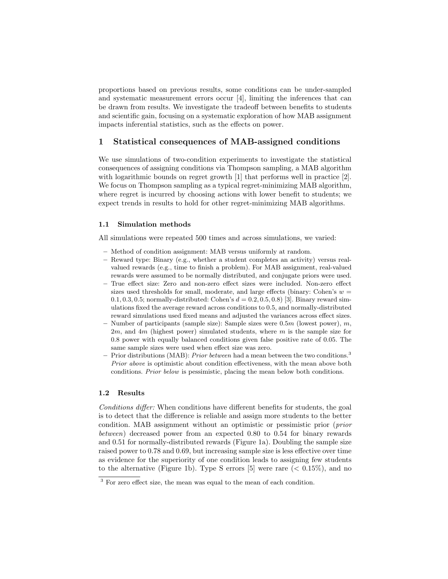proportions based on previous results, some conditions can be under-sampled and systematic measurement errors occur [4], limiting the inferences that can be drawn from results. We investigate the tradeoff between benefits to students and scientific gain, focusing on a systematic exploration of how MAB assignment impacts inferential statistics, such as the effects on power.

## 1 Statistical consequences of MAB-assigned conditions

We use simulations of two-condition experiments to investigate the statistical consequences of assigning conditions via Thompson sampling, a MAB algorithm with logarithmic bounds on regret growth [1] that performs well in practice [2]. We focus on Thompson sampling as a typical regret-minimizing MAB algorithm, where regret is incurred by choosing actions with lower benefit to students; we expect trends in results to hold for other regret-minimizing MAB algorithms.

### 1.1 Simulation methods

All simulations were repeated 500 times and across simulations, we varied:

- Method of condition assignment: MAB versus uniformly at random.
- Reward type: Binary (e.g., whether a student completes an activity) versus realvalued rewards (e.g., time to finish a problem). For MAB assignment, real-valued rewards were assumed to be normally distributed, and conjugate priors were used.
- True effect size: Zero and non-zero effect sizes were included. Non-zero effect sizes used thresholds for small, moderate, and large effects (binary: Cohen's  $w =$ 0.1, 0.3, 0.5; normally-distributed: Cohen's  $d = 0.2, 0.5, 0.8$  [3]. Binary reward simulations fixed the average reward across conditions to 0.5, and normally-distributed reward simulations used fixed means and adjusted the variances across effect sizes.
- Number of participants (sample size): Sample sizes were  $0.5m$  (lowest power), m,  $2m$ , and  $4m$  (highest power) simulated students, where m is the sample size for 0.8 power with equally balanced conditions given false positive rate of 0.05. The same sample sizes were used when effect size was zero.
- Prior distributions (MAB): *Prior between* had a mean between the two conditions.<sup>3</sup> Prior above is optimistic about condition effectiveness, with the mean above both conditions. Prior below is pessimistic, placing the mean below both conditions.

#### 1.2 Results

Conditions differ: When conditions have different benefits for students, the goal is to detect that the difference is reliable and assign more students to the better condition. MAB assignment without an optimistic or pessimistic prior (prior between) decreased power from an expected 0.80 to 0.54 for binary rewards and 0.51 for normally-distributed rewards (Figure 1a). Doubling the sample size raised power to 0.78 and 0.69, but increasing sample size is less effective over time as evidence for the superiority of one condition leads to assigning few students to the alternative (Figure 1b). Type S errors  $[5]$  were rare  $( $0.15\%$ ), and no$ 

<sup>&</sup>lt;sup>3</sup> For zero effect size, the mean was equal to the mean of each condition.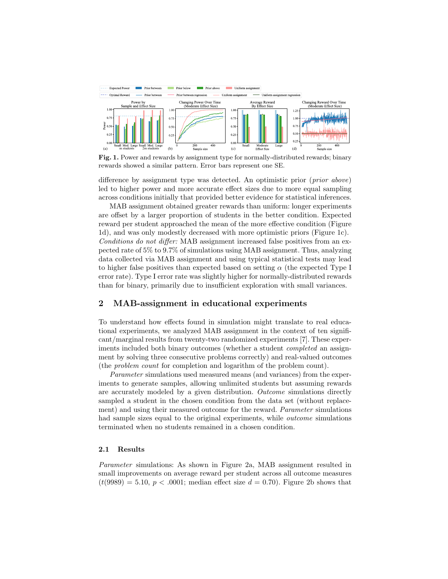

Fig. 1. Power and rewards by assignment type for normally-distributed rewards; binary rewards showed a similar pattern. Error bars represent one SE.

difference by assignment type was detected. An optimistic prior (prior above) led to higher power and more accurate effect sizes due to more equal sampling across conditions initially that provided better evidence for statistical inferences.

MAB assignment obtained greater rewards than uniform: longer experiments are offset by a larger proportion of students in the better condition. Expected reward per student approached the mean of the more effective condition (Figure 1d), and was only modestly decreased with more optimistic priors (Figure 1c). Conditions do not differ: MAB assignment increased false positives from an expected rate of 5% to 9.7% of simulations using MAB assignment. Thus, analyzing data collected via MAB assignment and using typical statistical tests may lead to higher false positives than expected based on setting  $\alpha$  (the expected Type I error rate). Type I error rate was slightly higher for normally-distributed rewards than for binary, primarily due to insufficient exploration with small variances.

#### 2 MAB-assignment in educational experiments

To understand how effects found in simulation might translate to real educational experiments, we analyzed MAB assignment in the context of ten significant/marginal results from twenty-two randomized experiments [7]. These experiments included both binary outcomes (whether a student completed an assignment by solving three consecutive problems correctly) and real-valued outcomes (the problem count for completion and logarithm of the problem count).

Parameter simulations used measured means (and variances) from the experiments to generate samples, allowing unlimited students but assuming rewards are accurately modeled by a given distribution. Outcome simulations directly sampled a student in the chosen condition from the data set (without replacement) and using their measured outcome for the reward. Parameter simulations had sample sizes equal to the original experiments, while *outcome* simulations terminated when no students remained in a chosen condition.

#### 2.1 Results

Parameter simulations: As shown in Figure 2a, MAB assignment resulted in small improvements on average reward per student across all outcome measures  $(t(9989) = 5.10, p < .0001$ ; median effect size  $d = 0.70$ ). Figure 2b shows that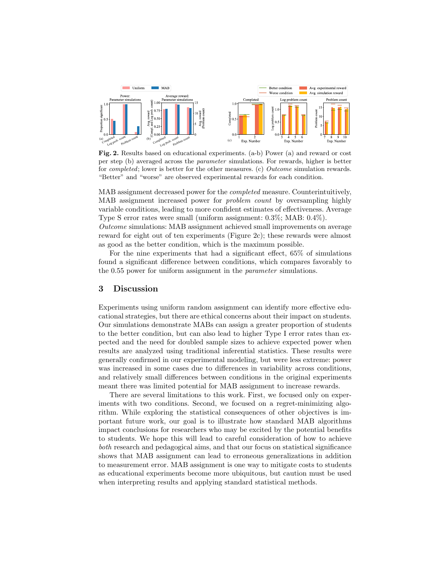

Fig. 2. Results based on educational experiments. (a-b) Power (a) and reward or cost per step (b) averaged across the parameter simulations. For rewards, higher is better for *completed*; lower is better for the other measures. (c) *Outcome* simulation rewards. "Better" and "worse" are observed experimental rewards for each condition.

MAB assignment decreased power for the completed measure. Counterintuitively, MAB assignment increased power for problem count by oversampling highly variable conditions, leading to more confident estimates of effectiveness. Average Type S error rates were small (uniform assignment: 0.3%; MAB: 0.4%).

Outcome simulations: MAB assignment achieved small improvements on average reward for eight out of ten experiments (Figure 2c); these rewards were almost as good as the better condition, which is the maximum possible.

For the nine experiments that had a significant effect, 65% of simulations found a significant difference between conditions, which compares favorably to the 0.55 power for uniform assignment in the parameter simulations.

## 3 Discussion

Experiments using uniform random assignment can identify more effective educational strategies, but there are ethical concerns about their impact on students. Our simulations demonstrate MABs can assign a greater proportion of students to the better condition, but can also lead to higher Type I error rates than expected and the need for doubled sample sizes to achieve expected power when results are analyzed using traditional inferential statistics. These results were generally confirmed in our experimental modeling, but were less extreme: power was increased in some cases due to differences in variability across conditions, and relatively small differences between conditions in the original experiments meant there was limited potential for MAB assignment to increase rewards.

There are several limitations to this work. First, we focused only on experiments with two conditions. Second, we focused on a regret-minimizing algorithm. While exploring the statistical consequences of other objectives is important future work, our goal is to illustrate how standard MAB algorithms impact conclusions for researchers who may be excited by the potential benefits to students. We hope this will lead to careful consideration of how to achieve both research and pedagogical aims, and that our focus on statistical significance shows that MAB assignment can lead to erroneous generalizations in addition to measurement error. MAB assignment is one way to mitigate costs to students as educational experiments become more ubiquitous, but caution must be used when interpreting results and applying standard statistical methods.